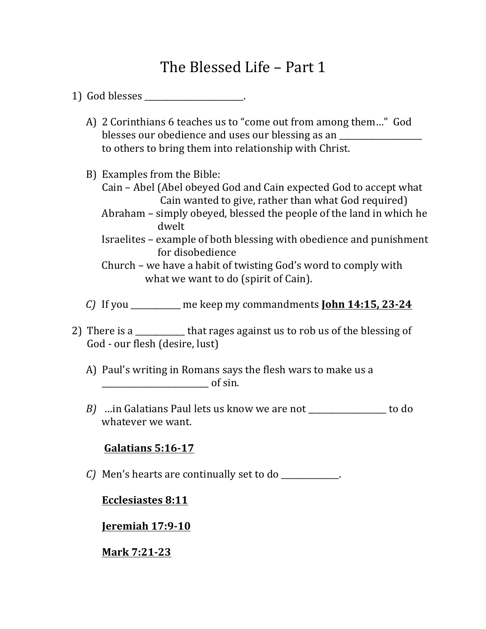# The Blessed Life – Part 1

- 1) God blesses the control of the control of the control of the control of the control of the control of the control of the control of the control of the control of the control of the control of the control of the control
	- A) 2 Corinthians 6 teaches us to "come out from among them..." God blesses our obedience and uses our blessing as an to others to bring them into relationship with Christ.
	- B) Examples from the Bible:
		- Cain Abel (Abel obeyed God and Cain expected God to accept what Cain wanted to give, rather than what God required)
		- Abraham simply obeyed, blessed the people of the land in which he dwelt
		- Israelites example of both blessing with obedience and punishment for disobedience
		- Church we have a habit of twisting God's word to comply with what we want to do (spirit of Cain).
	- *C*) If you \_\_\_\_\_\_\_\_\_\_ me keep my commandments **John 14:15, 23-24**
- 2) There is a \_\_\_\_\_\_\_\_\_\_\_\_ that rages against us to rob us of the blessing of God - our flesh (desire, lust)
	- A) Paul's writing in Romans says the flesh wars to make us a  $\alpha$  of sin.
	- *B*) …in Galatians Paul lets us know we are not \_\_\_\_\_\_\_\_\_\_\_\_\_\_\_ to do whatever we want.

### **Galatians 5:16-17**

*C)* Men's hearts are continually set to do \_\_\_\_\_\_\_\_\_\_\_\_\_\_.

### **Ecclesiastes 8:11**

**Jeremiah 17:9-10**

### **Mark 7:21-23**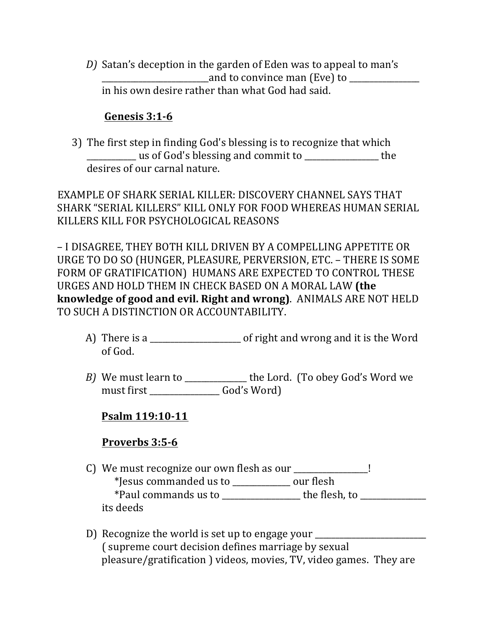*D)* Satan's deception in the garden of Eden was to appeal to man's and to convince man (Eve) to in his own desire rather than what God had said.

# **Genesis 3:1-6**

3) The first step in finding God's blessing is to recognize that which \_\_\_\_\_\_\_\_\_\_\_\_ us of God's blessing and commit to \_\_\_\_\_\_\_\_\_\_\_\_\_\_\_\_\_\_ the desires of our carnal nature.

EXAMPLE OF SHARK SERIAL KILLER: DISCOVERY CHANNEL SAYS THAT SHARK "SERIAL KILLERS" KILL ONLY FOR FOOD WHEREAS HUMAN SERIAL KILLERS KILL FOR PSYCHOLOGICAL REASONS

– I DISAGREE, THEY BOTH KILL DRIVEN BY A COMPELLING APPETITE OR URGE TO DO SO (HUNGER, PLEASURE, PERVERSION, ETC. – THERE IS SOME FORM OF GRATIFICATION) HUMANS ARE EXPECTED TO CONTROL THESE URGES AND HOLD THEM IN CHECK BASED ON A MORAL LAW **(the knowledge of good and evil. Right and wrong)**. ANIMALS ARE NOT HELD TO SUCH A DISTINCTION OR ACCOUNTABILITY.

- A) There is a \_\_\_\_\_\_\_\_\_\_\_\_\_\_\_\_\_\_\_\_\_\_\_ of right and wrong and it is the Word of God.
- *B*) We must learn to \_\_\_\_\_\_\_\_\_\_\_\_\_\_ the Lord. (To obey God's Word we must first \_\_\_\_\_\_\_\_\_\_\_\_\_\_\_\_\_ God's Word)

# **Psalm 119:10-11**

# **Proverbs 3:5-6**

- C) We must recognize our own flesh as our \_\_\_\_\_\_\_\_\_\_\_\_\_\_\_! \*Jesus commanded us to \_\_\_\_\_\_\_\_\_\_\_\_\_\_ our flesh \*Paul commands us to \_\_\_\_\_\_\_\_\_\_\_\_\_\_\_\_\_\_\_ the flesh, to \_\_\_\_\_\_\_\_\_\_\_\_\_\_\_\_ its deeds
- D) Recognize the world is set up to engage your \_\_\_\_\_\_\_\_\_\_\_\_\_\_\_\_\_\_\_\_\_\_\_\_\_\_\_\_\_\_\_\_ ( supreme court decision defines marriage by sexual pleasure/gratification ) videos, movies, TV, video games. They are